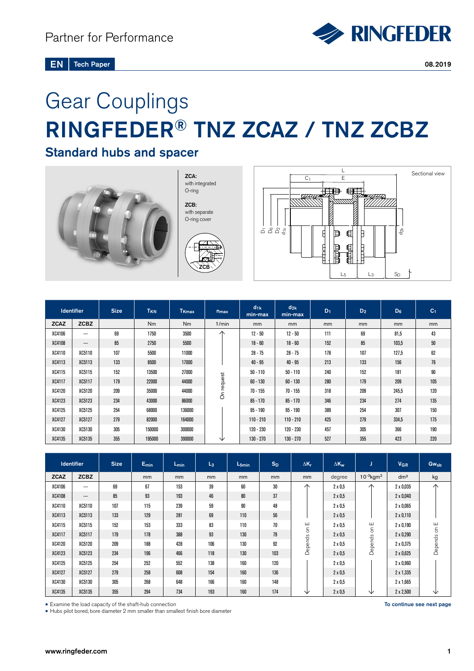# Gear Couplings RINGFEDER® TNZ ZCAZ / TNZ ZCBZ

## Standard hubs and spacer



ZCA: with integrated O-ring ZCB: with separate O-ring cover





| <b>Identifier</b> |             | <b>Size</b> | T <sub>KN</sub> | T <sub>Kmax</sub> | $n_{max}$           | $d_{1k}$<br>min-max | $d_{2k}$<br>min-max | $D_1$ | $D_2$ | $D_6$ | C <sub>1</sub> |
|-------------------|-------------|-------------|-----------------|-------------------|---------------------|---------------------|---------------------|-------|-------|-------|----------------|
| <b>ZCAZ</b>       | <b>ZCBZ</b> |             | Nm              | Nm                | 1/min               | <sub>mm</sub>       | mm                  | mm    | mm    | mm    | <sub>mm</sub>  |
| XC4106            | ---         | 69          | 1750            | 3500              |                     | $12 - 50$           | $12 - 50$           | 111   | 69    | 81,5  | 43             |
| XC4108            | ---         | 85          | 2750            | 5500              |                     | $18 - 60$           | $18 - 60$           | 152   | 85    | 103,5 | $50\,$         |
| XC4110            | XC5110      | 107         | 5500            | 11000             |                     | $28 - 75$           | $28 - 75$           | 178   | 107   | 127,5 | 62             |
| XC4113            | XC5113      | 133         | 8500            | 17000             | request<br>$\delta$ | $40 - 95$           | $40 - 95$           | 213   | 133   | 156   | 76             |
| XC4115            | XC5115      | 152         | 13500           | 27000             |                     | $50 - 110$          | $50 - 110$          | 240   | 152   | 181   | 90             |
| <b>XC4117</b>     | XC5117      | 179         | 22000           | 44000             |                     | $60 - 130$          | $60 - 130$          | 280   | 179   | 209   | 105            |
| XC4120            | XC5120      | 209         | 35000           | 44000             |                     | $70 - 155$          | $70 - 155$          | 318   | 209   | 245.5 | 120            |
| XC4123            | XC5123      | 234         | 43000           | 86000             |                     | $85 - 170$          | $85 - 170$          | 346   | 234   | 274   | 135            |
| XC4125            | XC5125      | 254         | 68000           | 136000            |                     | $95 - 190$          | $95 - 190$          | 389   | 254   | 307   | 150            |
| XC4127            | XC5127      | 279         | 82000           | 164000            |                     | $110 - 210$         | $110 - 210$         | 425   | 279   | 334,5 | 175            |
| XC4130            | XC5130      | 305         | 150000          | 300000            |                     | $120 - 230$         | 120 - 230           | 457   | 305   | 366   | 190            |
| XC4135            | XC5135      | 355         | 195000          | 390000            | ◡                   | $130 - 270$         | $130 - 270$         | 527   | 355   | 423   | 220            |

|             | <b>Identifier</b> | <b>Size</b> | $E_{min}$ | $L_{\text{min}}$ | $L_3$ | $L_{5min}$ | $S_D$ | $\Delta K_r$ | $\Delta K_{w}$ |                            | <b>V<sub>GR</sub></b> | <b>Gwsb</b>  |
|-------------|-------------------|-------------|-----------|------------------|-------|------------|-------|--------------|----------------|----------------------------|-----------------------|--------------|
| <b>ZCAZ</b> | <b>ZCBZ</b>       |             | mm        | mm               | mm    | mm         | mm    | mm           | degree         | $10^{-3}$ kgm <sup>2</sup> | dm <sup>3</sup>       | kg           |
| XC4106      | ---               | 69          | 67        | 153              | 39    | 60         | 30    | $\wedge$     | $2 \times 0.5$ | $\wedge$                   | $2 \times 0.035$      | $\wedge$     |
| XC4108      | $---$             | 85          | 93        | 193              | 46    | 80         | 37    |              | $2 \times 0.5$ |                            | $2 \times 0,040$      |              |
| XC4110      | XC5110            | 107         | 115       | 239              | 59    | 90         | 48    |              | $2 \times 0.5$ |                            | $2 \times 0.065$      |              |
| XC4113      | XC5113            | 133         | 129       | 281              | 69    | 110        | 56    |              | $2 \times 0.5$ |                            | $2 \times 0,110$      |              |
| XC4115      | XC5115            | 152         | 153       | 333              | 83    | 110        | 70    | ш            | $2 \times 0.5$ | ш                          | $2 \times 0,190$      |              |
| XC4117      | XC5117            | 179         | 178       | 388              | 93    | 130        | 79    | Depends on   | $2 \times 0.5$ | Depends on                 | $2 \times 0,290$      | Depends on E |
| XC4120      | XC5120            | 209         | 188       | 428              | 106   | 130        | 92    |              | $2 \times 0.5$ |                            | 2 x 0,375             |              |
| XC4123      | XC5123            | 234         | 196       | 466              | 118   | 130        | 103   |              | $2 \times 0.5$ |                            | $2 \times 0.625$      |              |
| XC4125      | XC5125            | 254         | 252       | 552              | 138   | 160        | 120   |              | $2 \times 0.5$ |                            | $2 \times 0,960$      |              |
| XC4127      | XC5127            | 279         | 258       | 608              | 154   | 160        | 136   |              | $2 \times 0.5$ |                            | $2 \times 1,335$      |              |
| XC4130      | XC5130            | 305         | 268       | 648              | 166   | 160        | 148   |              | $2 \times 0.5$ |                            | $2 \times 1,665$      |              |
| XC4135      | XC5135            | 355         | 294       | 734              | 193   | 160        | 174   | ◡            | $2 \times 0.5$ | ╰                          | $2 \times 2,500$      | ◡            |

• Examine the load capacity of the shaft-hub connection

• Hubs pilot bored, bore diameter 2 mm smaller than smallest finish bore diameter

To continue see next page